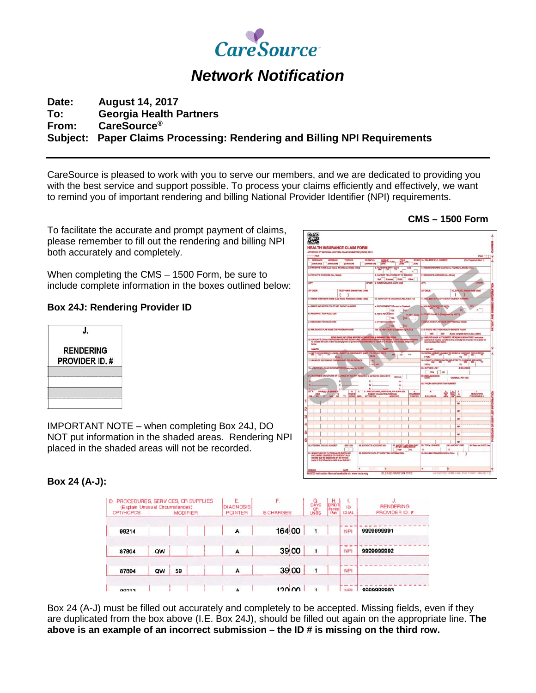

# *Network Notification*

# **Date: August 14, 2017 To: Georgia Health Partners From: CareSource® Subject: Paper Claims Processing: Rendering and Billing NPI Requirements**

CareSource is pleased to work with you to serve our members, and we are dedicated to providing you with the best service and support possible. To process your claims efficiently and effectively, we want to remind you of important rendering and billing National Provider Identifier (NPI) requirements.

To facilitate the accurate and prompt payment of claims, please remember to fill out the rendering and billing NPI both accurately and completely.

When completing the CMS – 1500 Form, be sure to include complete information in the boxes outlined below:

## **Box 24J: Rendering Provider ID**



IMPORTANT NOTE – when completing Box 24J, DO NOT put information in the shaded areas. Rendering NPI placed in the shaded areas will not be recorded.

# **Box 24 (A-J):**

| <b>CPT/HCPCS</b> | (Explain Unusual Circumstances)<br><b>MODIFIER</b> |    | <b>POINTER</b> | <b>\$CHARGES</b> | <b>OR</b><br>UNITS | H.<br>EPSDT<br>Parriy<br>Plan | <b>QUAL</b> | PROVIDER ID. # |            |
|------------------|----------------------------------------------------|----|----------------|------------------|--------------------|-------------------------------|-------------|----------------|------------|
| 99214            |                                                    |    |                | Α                | 164.00             | 1                             |             | <b>NPI</b>     | 9999999991 |
| 87804            | QW                                                 |    |                | A                | 39.00              | 1                             |             | NPI            | 999999992  |
| 87804            | QW                                                 | 59 |                | A                | 39.00              |                               |             | NPI            |            |

Box 24 (A-J) must be filled out accurately and completely to be accepted. Missing fields, even if they are duplicated from the box above (I.E. Box 24J), should be filled out again on the appropriate line. **The above is an example of an incorrect submission – the ID # is missing on the third row.**

### **CMS – 1500 Form**